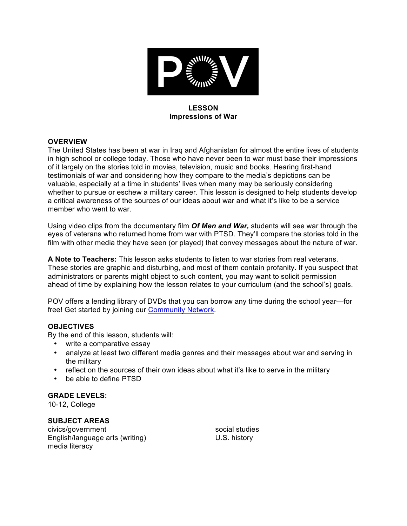

### **LESSON Impressions of War**

## **OVERVIEW**

The United States has been at war in Iraq and Afghanistan for almost the entire lives of students in high school or college today. Those who have never been to war must base their impressions of it largely on the stories told in movies, television, music and books. Hearing first-hand testimonials of war and considering how they compare to the media's depictions can be valuable, especially at a time in students' lives when many may be seriously considering whether to pursue or eschew a military career. This lesson is designed to help students develop a critical awareness of the sources of our ideas about war and what it's like to be a service member who went to war.

Using video clips from the documentary film *Of Men and War,* students will see war through the eyes of veterans who returned home from war with PTSD. They'll compare the stories told in the film with other media they have seen (or played) that convey messages about the nature of war.

**A Note to Teachers:** This lesson asks students to listen to war stories from real veterans. These stories are graphic and disturbing, and most of them contain profanity. If you suspect that administrators or parents might object to such content, you may want to solicit permission ahead of time by explaining how the lesson relates to your curriculum (and the school's) goals.

POV offers a lending library of DVDs that you can borrow any time during the school year—for free! Get started by joining our Community Network.

## **OBJECTIVES**

By the end of this lesson, students will:

- write a comparative essay
- analyze at least two different media genres and their messages about war and serving in the military
- reflect on the sources of their own ideas about what it's like to serve in the military
- be able to define PTSD

## **GRADE LEVELS:**

10-12, College

## **SUBJECT AREAS**

civics/government English/language arts (writing) media literacy

social studies U.S. history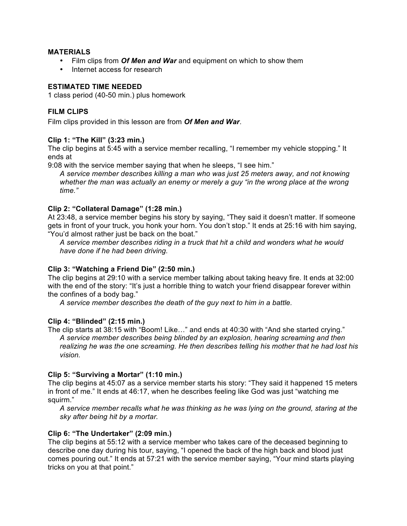#### **MATERIALS**

- Film clips from *Of Men and War* and equipment on which to show them
- Internet access for research

#### **ESTIMATED TIME NEEDED**

1 class period (40-50 min.) plus homework

### **FILM CLIPS**

Film clips provided in this lesson are from *Of Men and War*.

## **Clip 1: "The Kill" (3:23 min.)**

The clip begins at 5:45 with a service member recalling, "I remember my vehicle stopping." It ends at

9:08 with the service member saying that when he sleeps, "I see him."

*A service member describes killing a man who was just 25 meters away, and not knowing*  whether the man was actually an enemy or merely a guy "in the wrong place at the wrong *time."*

#### **Clip 2: "Collateral Damage" (1:28 min.)**

At 23:48, a service member begins his story by saying, "They said it doesn't matter. If someone gets in front of your truck, you honk your horn. You don't stop." It ends at 25:16 with him saying, "You'd almost rather just be back on the boat."

*A service member describes riding in a truck that hit a child and wonders what he would have done if he had been driving.*

## **Clip 3: "Watching a Friend Die" (2:50 min.)**

The clip begins at 29:10 with a service member talking about taking heavy fire. It ends at 32:00 with the end of the story: "It's just a horrible thing to watch your friend disappear forever within the confines of a body bag."

*A service member describes the death of the guy next to him in a battle.*

#### **Clip 4: "Blinded" (2:15 min.)**

The clip starts at 38:15 with "Boom! Like…" and ends at 40:30 with "And she started crying." *A service member describes being blinded by an explosion, hearing screaming and then realizing he was the one screaming. He then describes telling his mother that he had lost his vision.*

## **Clip 5: "Surviving a Mortar" (1:10 min.)**

The clip begins at 45:07 as a service member starts his story: "They said it happened 15 meters in front of me." It ends at 46:17, when he describes feeling like God was just "watching me squirm."

*A service member recalls what he was thinking as he was lying on the ground, staring at the sky after being hit by a mortar.* 

## **Clip 6: "The Undertaker" (2:09 min.)**

The clip begins at 55:12 with a service member who takes care of the deceased beginning to describe one day during his tour, saying, "I opened the back of the high back and blood just comes pouring out." It ends at 57:21 with the service member saying, "Your mind starts playing tricks on you at that point."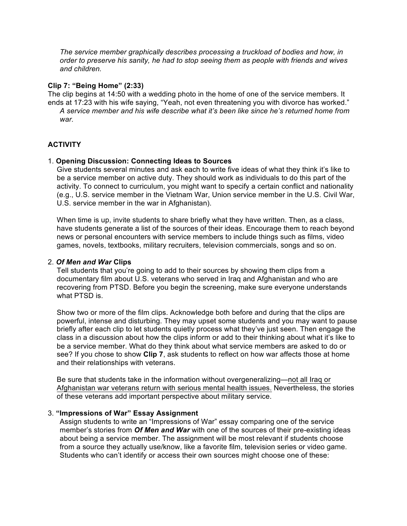*The service member graphically describes processing a truckload of bodies and how, in order to preserve his sanity, he had to stop seeing them as people with friends and wives and children.*

#### **Clip 7: "Being Home" (2:33)**

The clip begins at 14:50 with a wedding photo in the home of one of the service members. It ends at 17:23 with his wife saying, "Yeah, not even threatening you with divorce has worked." *A service member and his wife describe what it's been like since he's returned home from war.*

# **ACTIVITY**

#### 1. **Opening Discussion: Connecting Ideas to Sources**

Give students several minutes and ask each to write five ideas of what they think it's like to be a service member on active duty. They should work as individuals to do this part of the activity. To connect to curriculum, you might want to specify a certain conflict and nationality (e.g., U.S. service member in the Vietnam War, Union service member in the U.S. Civil War, U.S. service member in the war in Afghanistan).

When time is up, invite students to share briefly what they have written. Then, as a class, have students generate a list of the sources of their ideas. Encourage them to reach beyond news or personal encounters with service members to include things such as films, video games, novels, textbooks, military recruiters, television commercials, songs and so on.

#### 2. *Of Men and War* **Clips**

Tell students that you're going to add to their sources by showing them clips from a documentary film about U.S. veterans who served in Iraq and Afghanistan and who are recovering from PTSD. Before you begin the screening, make sure everyone understands what PTSD is.

Show two or more of the film clips. Acknowledge both before and during that the clips are powerful, intense and disturbing. They may upset some students and you may want to pause briefly after each clip to let students quietly process what they've just seen. Then engage the class in a discussion about how the clips inform or add to their thinking about what it's like to be a service member. What do they think about what service members are asked to do or see? If you chose to show **Clip 7**, ask students to reflect on how war affects those at home and their relationships with veterans.

Be sure that students take in the information without overgeneralizing—not all Iraq or Afghanistan war veterans return with serious mental health issues. Nevertheless, the stories of these veterans add important perspective about military service.

#### 3. **"Impressions of War" Essay Assignment**

Assign students to write an "Impressions of War" essay comparing one of the service member's stories from *Of Men and War* with one of the sources of their pre-existing ideas about being a service member. The assignment will be most relevant if students choose from a source they actually use/know, like a favorite film, television series or video game. Students who can't identify or access their own sources might choose one of these: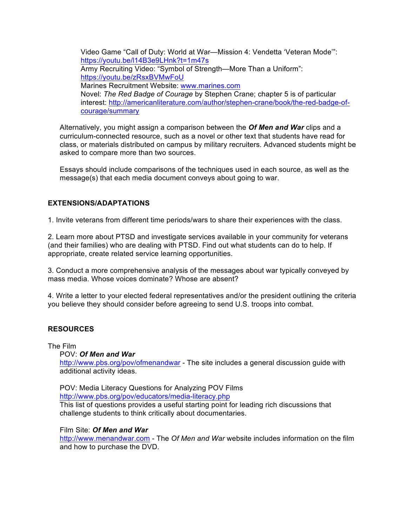Video Game "Call of Duty: World at War—Mission 4: Vendetta 'Veteran Mode'": https://youtu.be/l14B3e9LHnk?t=1m47s Army Recruiting Video: "Symbol of Strength—More Than a Uniform": https://youtu.be/zRsxBVMwFoU Marines Recruitment Website: www.marines.com Novel: *The Red Badge of Courage* by Stephen Crane; chapter 5 is of particular interest: http://americanliterature.com/author/stephen-crane/book/the-red-badge-ofcourage/summary

Alternatively, you might assign a comparison between the *Of Men and War* clips and a curriculum-connected resource, such as a novel or other text that students have read for class, or materials distributed on campus by military recruiters. Advanced students might be asked to compare more than two sources.

Essays should include comparisons of the techniques used in each source, as well as the message(s) that each media document conveys about going to war.

## **EXTENSIONS/ADAPTATIONS**

1. Invite veterans from different time periods/wars to share their experiences with the class.

2. Learn more about PTSD and investigate services available in your community for veterans (and their families) who are dealing with PTSD. Find out what students can do to help. If appropriate, create related service learning opportunities.

3. Conduct a more comprehensive analysis of the messages about war typically conveyed by mass media. Whose voices dominate? Whose are absent?

4. Write a letter to your elected federal representatives and/or the president outlining the criteria you believe they should consider before agreeing to send U.S. troops into combat.

## **RESOURCES**

The Film

POV: *Of Men and War*

http://www.pbs.org/pov/ofmenandwar - The site includes a general discussion guide with additional activity ideas.

POV: Media Literacy Questions for Analyzing POV Films http://www.pbs.org/pov/educators/media-literacy.php This list of questions provides a useful starting point for leading rich discussions that challenge students to think critically about documentaries.

#### Film Site: *Of Men and War*

http://www.menandwar.com - The *Of Men and War* website includes information on the film and how to purchase the DVD.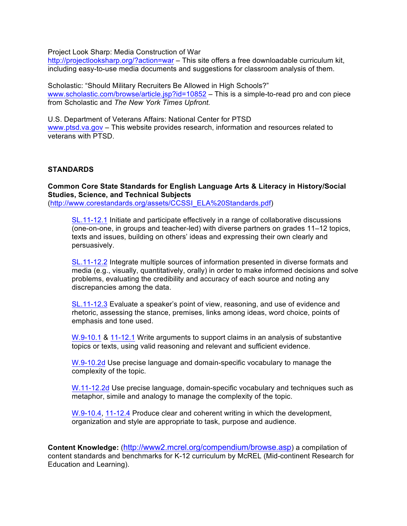Project Look Sharp: Media Construction of War

http://projectlooksharp.org/?action=war – This site offers a free downloadable curriculum kit, including easy-to-use media documents and suggestions for classroom analysis of them.

Scholastic: "Should Military Recruiters Be Allowed in High Schools?" www.scholastic.com/browse/article.jsp?id=10852 – This is a simple-to-read pro and con piece from Scholastic and *The New York Times Upfront.*

U.S. Department of Veterans Affairs: National Center for PTSD www.ptsd.va.gov – This website provides research, information and resources related to veterans with PTSD.

#### **STANDARDS**

**Common Core State Standards for English Language Arts & Literacy in History/Social Studies, Science, and Technical Subjects** (http://www.corestandards.org/assets/CCSSI\_ELA%20Standards.pdf)

SL.11-12.1 Initiate and participate effectively in a range of collaborative discussions (one-on-one, in groups and teacher-led) with diverse partners on grades 11–12 topics, texts and issues, building on others' ideas and expressing their own clearly and persuasively.

SL.11-12.2 Integrate multiple sources of information presented in diverse formats and media (e.g., visually, quantitatively, orally) in order to make informed decisions and solve problems, evaluating the credibility and accuracy of each source and noting any discrepancies among the data.

SL.11-12.3 Evaluate a speaker's point of view, reasoning, and use of evidence and rhetoric, assessing the stance, premises, links among ideas, word choice, points of emphasis and tone used.

W.9-10.1 & 11-12.1 Write arguments to support claims in an analysis of substantive topics or texts, using valid reasoning and relevant and sufficient evidence.

W.9-10.2d Use precise language and domain-specific vocabulary to manage the complexity of the topic.

W.11-12.2d Use precise language, domain-specific vocabulary and techniques such as metaphor, simile and analogy to manage the complexity of the topic.

W.9-10.4, 11-12.4 Produce clear and coherent writing in which the development, organization and style are appropriate to task, purpose and audience.

**Content Knowledge:** (http://www2.mcrel.org/compendium/browse.asp) a compilation of content standards and benchmarks for K-12 curriculum by McREL (Mid-continent Research for Education and Learning).